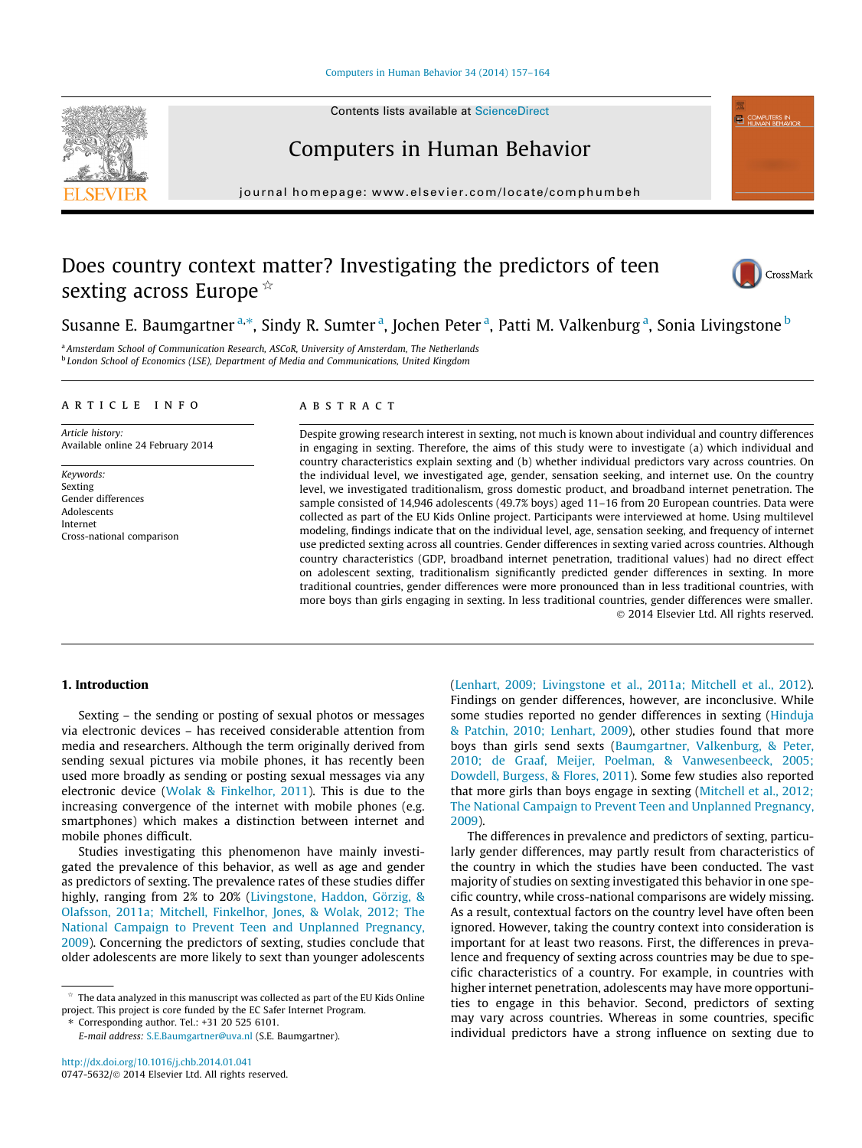#### [Computers in Human Behavior 34 \(2014\) 157–164](http://dx.doi.org/10.1016/j.chb.2014.01.041)

Contents lists available at [ScienceDirect](http://www.sciencedirect.com/science/journal/07475632)

# Computers in Human Behavior

journal homepage: [www.elsevier.com/locate/comphumbeh](http://www.elsevier.com/locate/comphumbeh)

# Does country context matter? Investigating the predictors of teen sexting across Europe  $\dot{\alpha}$



a Amsterdam School of Communication Research, ASCoR, University of Amsterdam, The Netherlands <sup>b</sup> London School of Economics (LSE), Department of Media and Communications, United Kingdom

#### article info

Article history: Available online 24 February 2014

Keywords: Sexting Gender differences Adolescents Internet Cross-national comparison

# **ABSTRACT**

Despite growing research interest in sexting, not much is known about individual and country differences in engaging in sexting. Therefore, the aims of this study were to investigate (a) which individual and country characteristics explain sexting and (b) whether individual predictors vary across countries. On the individual level, we investigated age, gender, sensation seeking, and internet use. On the country level, we investigated traditionalism, gross domestic product, and broadband internet penetration. The sample consisted of 14,946 adolescents (49.7% boys) aged 11–16 from 20 European countries. Data were collected as part of the EU Kids Online project. Participants were interviewed at home. Using multilevel modeling, findings indicate that on the individual level, age, sensation seeking, and frequency of internet use predicted sexting across all countries. Gender differences in sexting varied across countries. Although country characteristics (GDP, broadband internet penetration, traditional values) had no direct effect on adolescent sexting, traditionalism significantly predicted gender differences in sexting. In more traditional countries, gender differences were more pronounced than in less traditional countries, with more boys than girls engaging in sexting. In less traditional countries, gender differences were smaller. - 2014 Elsevier Ltd. All rights reserved.

# 1. Introduction

Sexting – the sending or posting of sexual photos or messages via electronic devices – has received considerable attention from media and researchers. Although the term originally derived from sending sexual pictures via mobile phones, it has recently been used more broadly as sending or posting sexual messages via any electronic device ([Wolak & Finkelhor, 2011](#page-7-0)). This is due to the increasing convergence of the internet with mobile phones (e.g. smartphones) which makes a distinction between internet and mobile phones difficult.

Studies investigating this phenomenon have mainly investigated the prevalence of this behavior, as well as age and gender as predictors of sexting. The prevalence rates of these studies differ highly, ranging from 2% to 20% [\(Livingstone, Haddon, Görzig, &](#page-7-0) [Olafsson, 2011a; Mitchell, Finkelhor, Jones, & Wolak, 2012; The](#page-7-0) [National Campaign to Prevent Teen and Unplanned Pregnancy,](#page-7-0) [2009](#page-7-0)). Concerning the predictors of sexting, studies conclude that older adolescents are more likely to sext than younger adolescents

Corresponding author. Tel.: +31 20 525 6101.

E-mail address: [S.E.Baumgartner@uva.nl](mailto:S.E.Baumgartner@uva.nl) (S.E. Baumgartner).

([Lenhart, 2009; Livingstone et al., 2011a; Mitchell et al., 2012\)](#page-7-0). Findings on gender differences, however, are inconclusive. While some studies reported no gender differences in sexting ([Hinduja](#page-7-0) [& Patchin, 2010; Lenhart, 2009](#page-7-0)), other studies found that more boys than girls send sexts [\(Baumgartner, Valkenburg, & Peter,](#page-7-0) [2010; de Graaf, Meijer, Poelman, & Vanwesenbeeck, 2005;](#page-7-0) [Dowdell, Burgess, & Flores, 2011](#page-7-0)). Some few studies also reported that more girls than boys engage in sexting ([Mitchell et al., 2012;](#page-7-0) [The National Campaign to Prevent Teen and Unplanned Pregnancy,](#page-7-0) [2009](#page-7-0)).

The differences in prevalence and predictors of sexting, particularly gender differences, may partly result from characteristics of the country in which the studies have been conducted. The vast majority of studies on sexting investigated this behavior in one specific country, while cross-national comparisons are widely missing. As a result, contextual factors on the country level have often been ignored. However, taking the country context into consideration is important for at least two reasons. First, the differences in prevalence and frequency of sexting across countries may be due to specific characteristics of a country. For example, in countries with higher internet penetration, adolescents may have more opportunities to engage in this behavior. Second, predictors of sexting may vary across countries. Whereas in some countries, specific individual predictors have a strong influence on sexting due to





**ED COMPUTERS IN** 

 $*$  The data analyzed in this manuscript was collected as part of the EU Kids Online project. This project is core funded by the EC Safer Internet Program.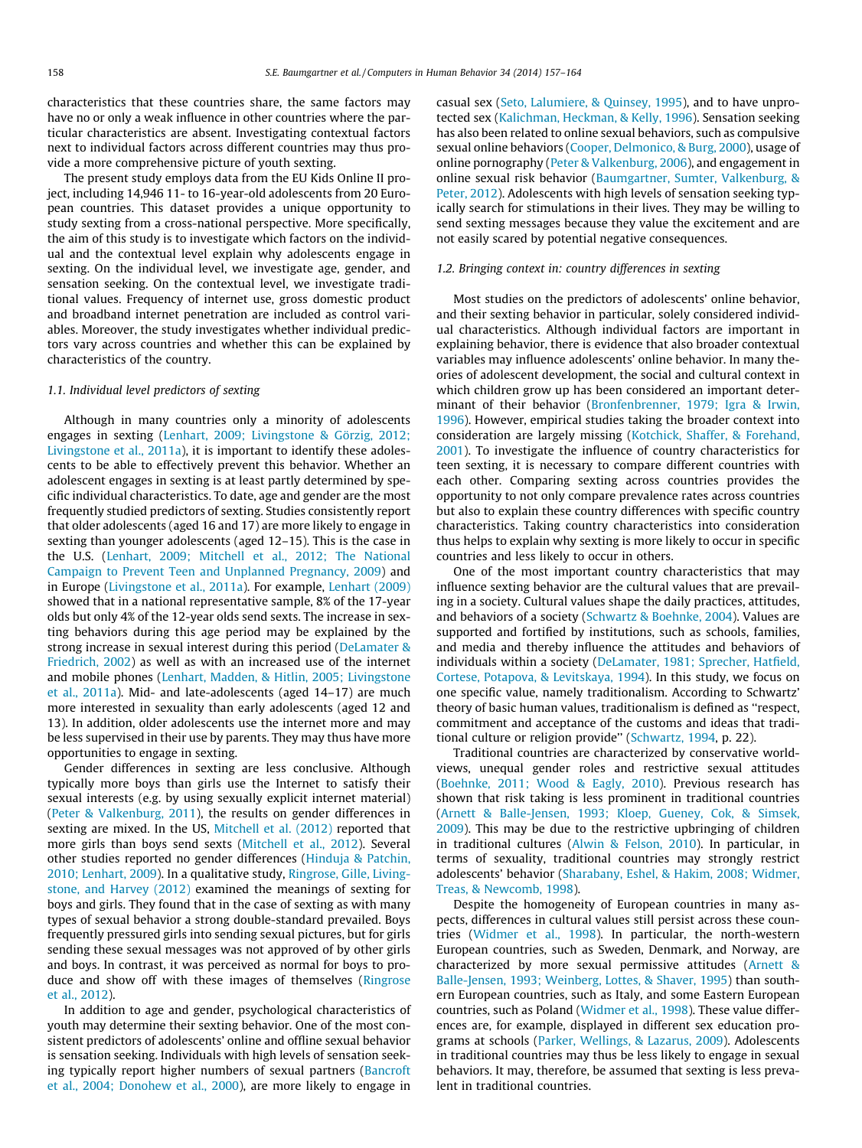characteristics that these countries share, the same factors may have no or only a weak influence in other countries where the particular characteristics are absent. Investigating contextual factors next to individual factors across different countries may thus provide a more comprehensive picture of youth sexting.

The present study employs data from the EU Kids Online II project, including 14,946 11- to 16-year-old adolescents from 20 European countries. This dataset provides a unique opportunity to study sexting from a cross-national perspective. More specifically, the aim of this study is to investigate which factors on the individual and the contextual level explain why adolescents engage in sexting. On the individual level, we investigate age, gender, and sensation seeking. On the contextual level, we investigate traditional values. Frequency of internet use, gross domestic product and broadband internet penetration are included as control variables. Moreover, the study investigates whether individual predictors vary across countries and whether this can be explained by characteristics of the country.

#### 1.1. Individual level predictors of sexting

Although in many countries only a minority of adolescents engages in sexting [\(Lenhart, 2009; Livingstone & Görzig, 2012;](#page-7-0) [Livingstone et al., 2011a](#page-7-0)), it is important to identify these adolescents to be able to effectively prevent this behavior. Whether an adolescent engages in sexting is at least partly determined by specific individual characteristics. To date, age and gender are the most frequently studied predictors of sexting. Studies consistently report that older adolescents (aged 16 and 17) are more likely to engage in sexting than younger adolescents (aged 12–15). This is the case in the U.S. ([Lenhart, 2009; Mitchell et al., 2012; The National](#page-7-0) [Campaign to Prevent Teen and Unplanned Pregnancy, 2009](#page-7-0)) and in Europe [\(Livingstone et al., 2011a\)](#page-7-0). For example, [Lenhart \(2009\)](#page-7-0) showed that in a national representative sample, 8% of the 17-year olds but only 4% of the 12-year olds send sexts. The increase in sexting behaviors during this age period may be explained by the strong increase in sexual interest during this period ([DeLamater &](#page-7-0) [Friedrich, 2002](#page-7-0)) as well as with an increased use of the internet and mobile phones ([Lenhart, Madden, & Hitlin, 2005; Livingstone](#page-7-0) [et al., 2011a\)](#page-7-0). Mid- and late-adolescents (aged 14–17) are much more interested in sexuality than early adolescents (aged 12 and 13). In addition, older adolescents use the internet more and may be less supervised in their use by parents. They may thus have more opportunities to engage in sexting.

Gender differences in sexting are less conclusive. Although typically more boys than girls use the Internet to satisfy their sexual interests (e.g. by using sexually explicit internet material) ([Peter & Valkenburg, 2011\)](#page-7-0), the results on gender differences in sexting are mixed. In the US, [Mitchell et al. \(2012\)](#page-7-0) reported that more girls than boys send sexts [\(Mitchell et al., 2012\)](#page-7-0). Several other studies reported no gender differences ([Hinduja & Patchin,](#page-7-0) [2010; Lenhart, 2009](#page-7-0)). In a qualitative study, [Ringrose, Gille, Living](#page-7-0)[stone, and Harvey \(2012\)](#page-7-0) examined the meanings of sexting for boys and girls. They found that in the case of sexting as with many types of sexual behavior a strong double-standard prevailed. Boys frequently pressured girls into sending sexual pictures, but for girls sending these sexual messages was not approved of by other girls and boys. In contrast, it was perceived as normal for boys to produce and show off with these images of themselves [\(Ringrose](#page-7-0) [et al., 2012\)](#page-7-0).

In addition to age and gender, psychological characteristics of youth may determine their sexting behavior. One of the most consistent predictors of adolescents' online and offline sexual behavior is sensation seeking. Individuals with high levels of sensation seeking typically report higher numbers of sexual partners ([Bancroft](#page-7-0) [et al., 2004; Donohew et al., 2000](#page-7-0)), are more likely to engage in casual sex [\(Seto, Lalumiere, & Quinsey, 1995\)](#page-7-0), and to have unprotected sex ([Kalichman, Heckman, & Kelly, 1996\)](#page-7-0). Sensation seeking has also been related to online sexual behaviors, such as compulsive sexual online behaviors [\(Cooper, Delmonico, & Burg, 2000\)](#page-7-0), usage of online pornography [\(Peter & Valkenburg, 2006\)](#page-7-0), and engagement in online sexual risk behavior [\(Baumgartner, Sumter, Valkenburg, &](#page-7-0) [Peter, 2012](#page-7-0)). Adolescents with high levels of sensation seeking typically search for stimulations in their lives. They may be willing to send sexting messages because they value the excitement and are not easily scared by potential negative consequences.

#### 1.2. Bringing context in: country differences in sexting

Most studies on the predictors of adolescents' online behavior, and their sexting behavior in particular, solely considered individual characteristics. Although individual factors are important in explaining behavior, there is evidence that also broader contextual variables may influence adolescents' online behavior. In many theories of adolescent development, the social and cultural context in which children grow up has been considered an important determinant of their behavior ([Bronfenbrenner, 1979; Igra & Irwin,](#page-7-0) [1996\)](#page-7-0). However, empirical studies taking the broader context into consideration are largely missing ([Kotchick, Shaffer, & Forehand,](#page-7-0) [2001\)](#page-7-0). To investigate the influence of country characteristics for teen sexting, it is necessary to compare different countries with each other. Comparing sexting across countries provides the opportunity to not only compare prevalence rates across countries but also to explain these country differences with specific country characteristics. Taking country characteristics into consideration thus helps to explain why sexting is more likely to occur in specific countries and less likely to occur in others.

One of the most important country characteristics that may influence sexting behavior are the cultural values that are prevailing in a society. Cultural values shape the daily practices, attitudes, and behaviors of a society [\(Schwartz & Boehnke, 2004](#page-7-0)). Values are supported and fortified by institutions, such as schools, families, and media and thereby influence the attitudes and behaviors of individuals within a society ([DeLamater, 1981; Sprecher, Hatfield,](#page-7-0) [Cortese, Potapova, & Levitskaya, 1994\)](#page-7-0). In this study, we focus on one specific value, namely traditionalism. According to Schwartz' theory of basic human values, traditionalism is defined as ''respect, commitment and acceptance of the customs and ideas that traditional culture or religion provide'' [\(Schwartz, 1994](#page-7-0), p. 22).

Traditional countries are characterized by conservative worldviews, unequal gender roles and restrictive sexual attitudes ([Boehnke, 2011; Wood & Eagly, 2010\)](#page-7-0). Previous research has shown that risk taking is less prominent in traditional countries ([Arnett & Balle-Jensen, 1993; Kloep, Gueney, Cok, & Simsek,](#page-6-0) [2009\)](#page-6-0). This may be due to the restrictive upbringing of children in traditional cultures [\(Alwin & Felson, 2010](#page-6-0)). In particular, in terms of sexuality, traditional countries may strongly restrict adolescents' behavior ([Sharabany, Eshel, & Hakim, 2008; Widmer,](#page-7-0) [Treas, & Newcomb, 1998](#page-7-0)).

Despite the homogeneity of European countries in many aspects, differences in cultural values still persist across these countries [\(Widmer et al., 1998](#page-7-0)). In particular, the north-western European countries, such as Sweden, Denmark, and Norway, are characterized by more sexual permissive attitudes [\(Arnett &](#page-6-0) [Balle-Jensen, 1993; Weinberg, Lottes, & Shaver, 1995\)](#page-6-0) than southern European countries, such as Italy, and some Eastern European countries, such as Poland [\(Widmer et al., 1998\)](#page-7-0). These value differences are, for example, displayed in different sex education programs at schools ([Parker, Wellings, & Lazarus, 2009\)](#page-7-0). Adolescents in traditional countries may thus be less likely to engage in sexual behaviors. It may, therefore, be assumed that sexting is less prevalent in traditional countries.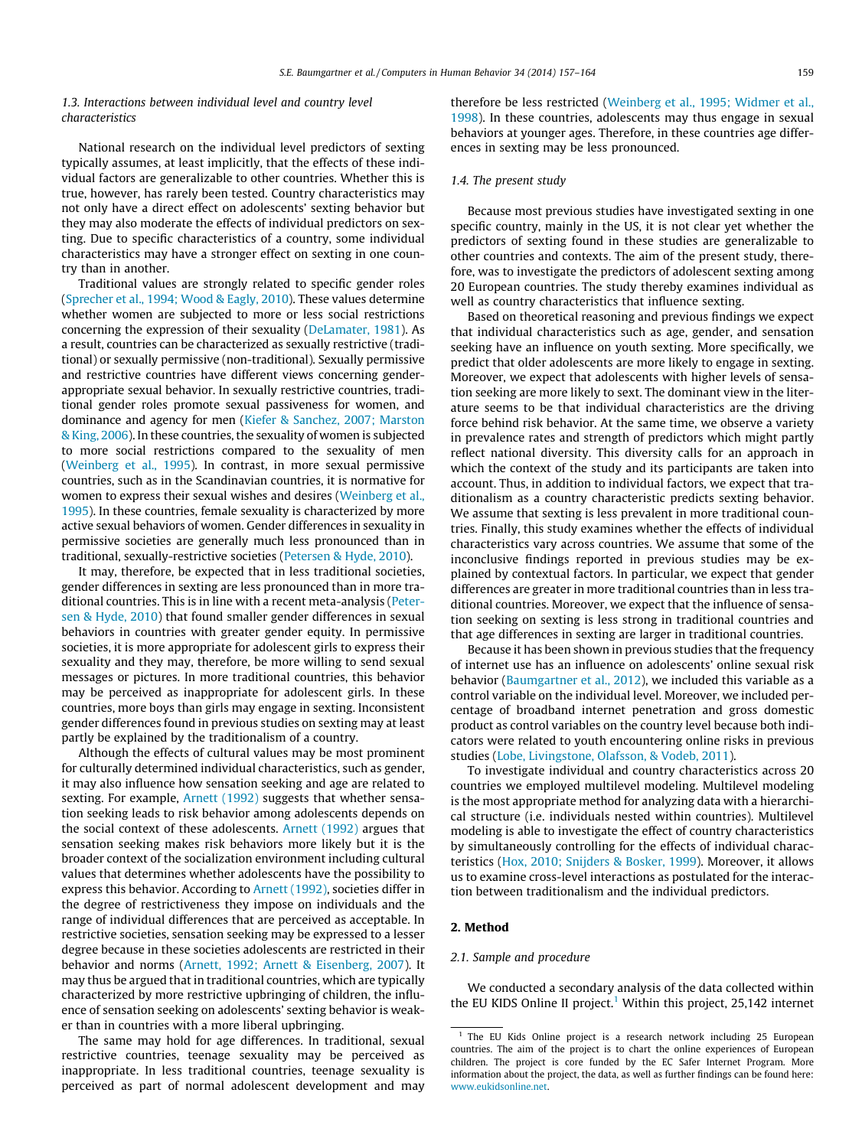#### 1.3. Interactions between individual level and country level characteristics

National research on the individual level predictors of sexting typically assumes, at least implicitly, that the effects of these individual factors are generalizable to other countries. Whether this is true, however, has rarely been tested. Country characteristics may not only have a direct effect on adolescents' sexting behavior but they may also moderate the effects of individual predictors on sexting. Due to specific characteristics of a country, some individual characteristics may have a stronger effect on sexting in one country than in another.

Traditional values are strongly related to specific gender roles ([Sprecher et al., 1994; Wood & Eagly, 2010](#page-7-0)). These values determine whether women are subjected to more or less social restrictions concerning the expression of their sexuality [\(DeLamater, 1981](#page-7-0)). As a result, countries can be characterized as sexually restrictive (traditional) or sexually permissive (non-traditional). Sexually permissive and restrictive countries have different views concerning genderappropriate sexual behavior. In sexually restrictive countries, traditional gender roles promote sexual passiveness for women, and dominance and agency for men [\(Kiefer & Sanchez, 2007; Marston](#page-7-0) [& King, 2006\)](#page-7-0). In these countries, the sexuality of women is subjected to more social restrictions compared to the sexuality of men ([Weinberg et al., 1995\)](#page-7-0). In contrast, in more sexual permissive countries, such as in the Scandinavian countries, it is normative for women to express their sexual wishes and desires ([Weinberg et al.,](#page-7-0) [1995](#page-7-0)). In these countries, female sexuality is characterized by more active sexual behaviors of women. Gender differences in sexuality in permissive societies are generally much less pronounced than in traditional, sexually-restrictive societies [\(Petersen & Hyde, 2010\)](#page-7-0).

It may, therefore, be expected that in less traditional societies, gender differences in sexting are less pronounced than in more traditional countries. This is in line with a recent meta-analysis ([Peter](#page-7-0)[sen & Hyde, 2010](#page-7-0)) that found smaller gender differences in sexual behaviors in countries with greater gender equity. In permissive societies, it is more appropriate for adolescent girls to express their sexuality and they may, therefore, be more willing to send sexual messages or pictures. In more traditional countries, this behavior may be perceived as inappropriate for adolescent girls. In these countries, more boys than girls may engage in sexting. Inconsistent gender differences found in previous studies on sexting may at least partly be explained by the traditionalism of a country.

Although the effects of cultural values may be most prominent for culturally determined individual characteristics, such as gender, it may also influence how sensation seeking and age are related to sexting. For example, [Arnett \(1992\)](#page-6-0) suggests that whether sensation seeking leads to risk behavior among adolescents depends on the social context of these adolescents. [Arnett \(1992\)](#page-6-0) argues that sensation seeking makes risk behaviors more likely but it is the broader context of the socialization environment including cultural values that determines whether adolescents have the possibility to express this behavior. According to [Arnett \(1992\),](#page-6-0) societies differ in the degree of restrictiveness they impose on individuals and the range of individual differences that are perceived as acceptable. In restrictive societies, sensation seeking may be expressed to a lesser degree because in these societies adolescents are restricted in their behavior and norms [\(Arnett, 1992; Arnett & Eisenberg, 2007\)](#page-6-0). It may thus be argued that in traditional countries, which are typically characterized by more restrictive upbringing of children, the influence of sensation seeking on adolescents' sexting behavior is weaker than in countries with a more liberal upbringing.

The same may hold for age differences. In traditional, sexual restrictive countries, teenage sexuality may be perceived as inappropriate. In less traditional countries, teenage sexuality is perceived as part of normal adolescent development and may therefore be less restricted ([Weinberg et al., 1995; Widmer et al.,](#page-7-0) [1998\)](#page-7-0). In these countries, adolescents may thus engage in sexual behaviors at younger ages. Therefore, in these countries age differences in sexting may be less pronounced.

#### 1.4. The present study

Because most previous studies have investigated sexting in one specific country, mainly in the US, it is not clear yet whether the predictors of sexting found in these studies are generalizable to other countries and contexts. The aim of the present study, therefore, was to investigate the predictors of adolescent sexting among 20 European countries. The study thereby examines individual as well as country characteristics that influence sexting.

Based on theoretical reasoning and previous findings we expect that individual characteristics such as age, gender, and sensation seeking have an influence on youth sexting. More specifically, we predict that older adolescents are more likely to engage in sexting. Moreover, we expect that adolescents with higher levels of sensation seeking are more likely to sext. The dominant view in the literature seems to be that individual characteristics are the driving force behind risk behavior. At the same time, we observe a variety in prevalence rates and strength of predictors which might partly reflect national diversity. This diversity calls for an approach in which the context of the study and its participants are taken into account. Thus, in addition to individual factors, we expect that traditionalism as a country characteristic predicts sexting behavior. We assume that sexting is less prevalent in more traditional countries. Finally, this study examines whether the effects of individual characteristics vary across countries. We assume that some of the inconclusive findings reported in previous studies may be explained by contextual factors. In particular, we expect that gender differences are greater in more traditional countries than in less traditional countries. Moreover, we expect that the influence of sensation seeking on sexting is less strong in traditional countries and that age differences in sexting are larger in traditional countries.

Because it has been shown in previous studies that the frequency of internet use has an influence on adolescents' online sexual risk behavior ([Baumgartner et al., 2012](#page-7-0)), we included this variable as a control variable on the individual level. Moreover, we included percentage of broadband internet penetration and gross domestic product as control variables on the country level because both indicators were related to youth encountering online risks in previous studies ([Lobe, Livingstone, Olafsson, & Vodeb, 2011](#page-7-0)).

To investigate individual and country characteristics across 20 countries we employed multilevel modeling. Multilevel modeling is the most appropriate method for analyzing data with a hierarchical structure (i.e. individuals nested within countries). Multilevel modeling is able to investigate the effect of country characteristics by simultaneously controlling for the effects of individual characteristics [\(Hox, 2010; Snijders & Bosker, 1999](#page-7-0)). Moreover, it allows us to examine cross-level interactions as postulated for the interaction between traditionalism and the individual predictors.

# 2. Method

#### 2.1. Sample and procedure

We conducted a secondary analysis of the data collected within the EU KIDS Online II project.<sup>1</sup> Within this project, 25,142 internet

 $1$  The EU Kids Online project is a research network including 25 European countries. The aim of the project is to chart the online experiences of European children. The project is core funded by the EC Safer Internet Program. More information about the project, the data, as well as further findings can be found here: [www.eukidsonline.net](http://www.eukidsonline.net).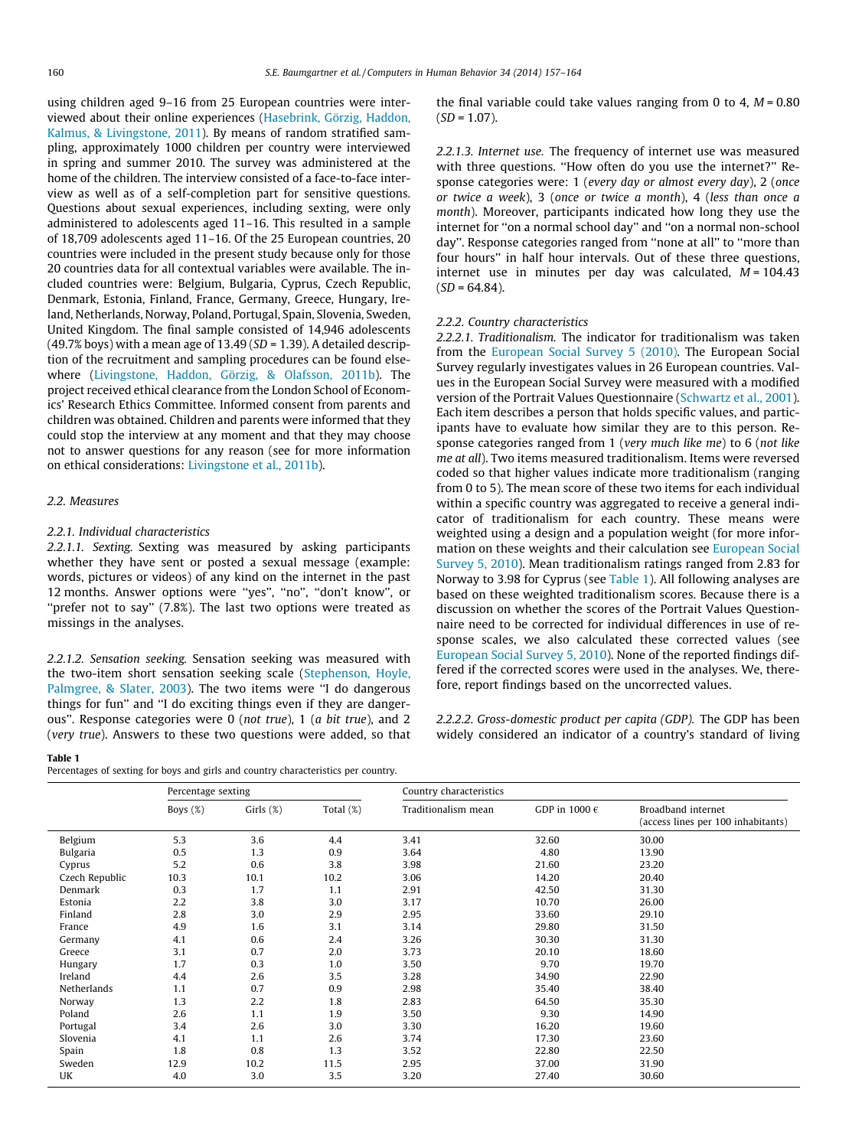<span id="page-3-0"></span>using children aged 9–16 from 25 European countries were interviewed about their online experiences [\(Hasebrink, Görzig, Haddon,](#page-7-0) [Kalmus, & Livingstone, 2011](#page-7-0)). By means of random stratified sampling, approximately 1000 children per country were interviewed in spring and summer 2010. The survey was administered at the home of the children. The interview consisted of a face-to-face interview as well as of a self-completion part for sensitive questions. Questions about sexual experiences, including sexting, were only administered to adolescents aged 11–16. This resulted in a sample of 18,709 adolescents aged 11–16. Of the 25 European countries, 20 countries were included in the present study because only for those 20 countries data for all contextual variables were available. The included countries were: Belgium, Bulgaria, Cyprus, Czech Republic, Denmark, Estonia, Finland, France, Germany, Greece, Hungary, Ireland, Netherlands, Norway, Poland, Portugal, Spain, Slovenia, Sweden, United Kingdom. The final sample consisted of 14,946 adolescents  $(49.7\%$  boys) with a mean age of 13.49 (SD = 1.39). A detailed description of the recruitment and sampling procedures can be found elsewhere [\(Livingstone, Haddon, Görzig, & Olafsson, 2011b](#page-7-0)). The project received ethical clearance from the London School of Economics' Research Ethics Committee. Informed consent from parents and children was obtained. Children and parents were informed that they could stop the interview at any moment and that they may choose not to answer questions for any reason (see for more information on ethical considerations: [Livingstone et al., 2011b\)](#page-7-0).

### 2.2. Measures

Table 1

#### 2.2.1. Individual characteristics

2.2.1.1. Sexting. Sexting was measured by asking participants whether they have sent or posted a sexual message (example: words, pictures or videos) of any kind on the internet in the past 12 months. Answer options were ''yes'', ''no'', ''don't know'', or ''prefer not to say'' (7.8%). The last two options were treated as missings in the analyses.

2.2.1.2. Sensation seeking. Sensation seeking was measured with the two-item short sensation seeking scale [\(Stephenson, Hoyle,](#page-7-0) [Palmgree, & Slater, 2003](#page-7-0)). The two items were ''I do dangerous things for fun'' and ''I do exciting things even if they are dangerous''. Response categories were 0 (not true), 1 (a bit true), and 2 (very true). Answers to these two questions were added, so that

the final variable could take values ranging from 0 to 4,  $M = 0.80$  $(SD = 1.07)$ .

2.2.1.3. Internet use. The frequency of internet use was measured with three questions. ''How often do you use the internet?'' Response categories were: 1 (every day or almost every day), 2 (once or twice a week), 3 (once or twice a month), 4 (less than once a month). Moreover, participants indicated how long they use the internet for ''on a normal school day'' and ''on a normal non-school day''. Response categories ranged from ''none at all'' to ''more than four hours'' in half hour intervals. Out of these three questions, internet use in minutes per day was calculated,  $M = 104.43$  $(SD = 64.84)$ .

#### 2.2.2. Country characteristics

2.2.2.1. Traditionalism. The indicator for traditionalism was taken from the [European Social Survey 5 \(2010\).](#page-7-0) The European Social Survey regularly investigates values in 26 European countries. Values in the European Social Survey were measured with a modified version of the Portrait Values Questionnaire [\(Schwartz et al., 2001\)](#page-7-0). Each item describes a person that holds specific values, and participants have to evaluate how similar they are to this person. Response categories ranged from 1 (very much like me) to 6 (not like me at all). Two items measured traditionalism. Items were reversed coded so that higher values indicate more traditionalism (ranging from 0 to 5). The mean score of these two items for each individual within a specific country was aggregated to receive a general indicator of traditionalism for each country. These means were weighted using a design and a population weight (for more information on these weights and their calculation see [European Social](#page-7-0) [Survey 5, 2010](#page-7-0)). Mean traditionalism ratings ranged from 2.83 for Norway to 3.98 for Cyprus (see Table 1). All following analyses are based on these weighted traditionalism scores. Because there is a discussion on whether the scores of the Portrait Values Questionnaire need to be corrected for individual differences in use of response scales, we also calculated these corrected values (see [European Social Survey 5, 2010](#page-7-0)). None of the reported findings differed if the corrected scores were used in the analyses. We, therefore, report findings based on the uncorrected values.

2.2.2.2. Gross-domestic product per capita (GDP). The GDP has been widely considered an indicator of a country's standard of living

|                 | Percentage sexting |              |              | Country characteristics |                        |                                                          |  |  |
|-----------------|--------------------|--------------|--------------|-------------------------|------------------------|----------------------------------------------------------|--|--|
|                 | Boys $(\%)$        | Girls $(\%)$ | Total $(\%)$ | Traditionalism mean     | GDP in 1000 $\epsilon$ | Broadband internet<br>(access lines per 100 inhabitants) |  |  |
| Belgium         | 5.3                | 3.6          | 4.4          | 3.41                    | 32.60                  | 30.00                                                    |  |  |
| <b>Bulgaria</b> | 0.5                | 1.3          | 0.9          | 3.64                    | 4.80                   | 13.90                                                    |  |  |
| Cyprus          | 5.2                | 0.6          | 3.8          | 3.98                    | 21.60                  | 23.20                                                    |  |  |
| Czech Republic  | 10.3               | 10.1         | 10.2         | 3.06                    | 14.20                  | 20.40                                                    |  |  |
| Denmark         | 0.3                | 1.7          | 1.1          | 2.91                    | 42.50                  | 31.30                                                    |  |  |
| Estonia         | 2.2                | 3.8          | 3.0          | 3.17                    | 10.70                  | 26.00                                                    |  |  |
| Finland         | 2.8                | 3.0          | 2.9          | 2.95                    | 33.60                  | 29.10                                                    |  |  |
| France          | 4.9                | 1.6          | 3.1          | 3.14                    | 29.80                  | 31.50                                                    |  |  |
| Germany         | 4.1                | 0.6          | 2.4          | 3.26                    | 30.30                  | 31.30                                                    |  |  |
| Greece          | 3.1                | 0.7          | 2.0          | 3.73                    | 20.10                  | 18.60                                                    |  |  |
| Hungary         | 1.7                | 0.3          | 1.0          | 3.50                    | 9.70                   | 19.70                                                    |  |  |
| Ireland         | 4.4                | 2.6          | 3.5          | 3.28                    | 34.90                  | 22.90                                                    |  |  |
| Netherlands     | 1.1                | 0.7          | 0.9          | 2.98                    | 35.40                  | 38.40                                                    |  |  |
| Norway          | 1.3                | 2.2          | 1.8          | 2.83                    | 64.50                  | 35.30                                                    |  |  |
| Poland          | 2.6                | 1.1          | 1.9          | 3.50                    | 9.30                   | 14.90                                                    |  |  |
| Portugal        | 3.4                | 2.6          | 3.0          | 3.30                    | 16.20                  | 19.60                                                    |  |  |
| Slovenia        | 4.1                | 1.1          | 2.6          | 3.74                    | 17.30                  | 23.60                                                    |  |  |
| Spain           | 1.8                | 0.8          | 1.3          | 3.52                    | 22.80                  | 22.50                                                    |  |  |
| Sweden          | 12.9               | 10.2         | 11.5         | 2.95                    | 37.00                  | 31.90                                                    |  |  |
| UK              | 4.0                | 3.0          | 3.5          | 3.20                    | 27.40                  | 30.60                                                    |  |  |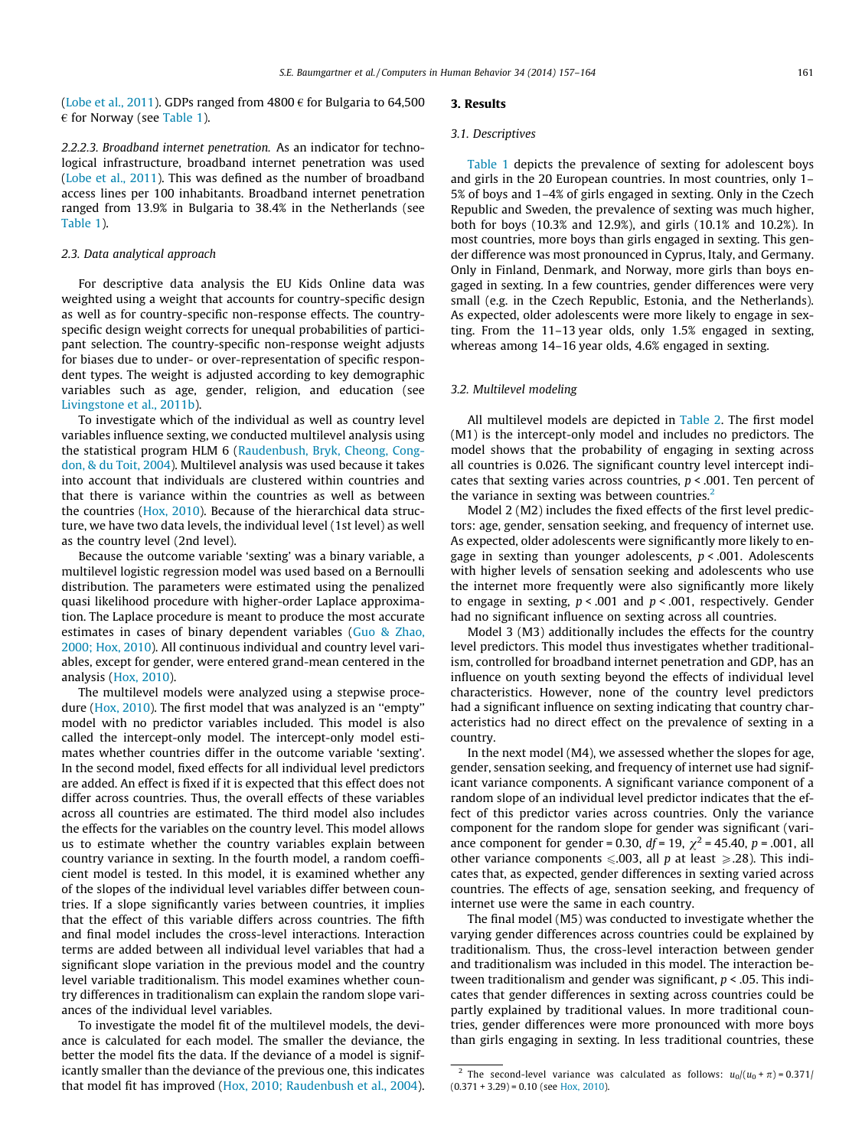([Lobe et al., 2011\)](#page-7-0). GDPs ranged from  $4800 \in$  for Bulgaria to 64,500  $\epsilon$  for Norway (see [Table 1\)](#page-3-0).

2.2.2.3. Broadband internet penetration. As an indicator for technological infrastructure, broadband internet penetration was used ([Lobe et al., 2011\)](#page-7-0). This was defined as the number of broadband access lines per 100 inhabitants. Broadband internet penetration ranged from 13.9% in Bulgaria to 38.4% in the Netherlands (see [Table 1](#page-3-0)).

## 2.3. Data analytical approach

For descriptive data analysis the EU Kids Online data was weighted using a weight that accounts for country-specific design as well as for country-specific non-response effects. The countryspecific design weight corrects for unequal probabilities of participant selection. The country-specific non-response weight adjusts for biases due to under- or over-representation of specific respondent types. The weight is adjusted according to key demographic variables such as age, gender, religion, and education (see [Livingstone et al., 2011b\)](#page-7-0).

To investigate which of the individual as well as country level variables influence sexting, we conducted multilevel analysis using the statistical program HLM 6 ([Raudenbush, Bryk, Cheong, Cong](#page-7-0)[don, & du Toit, 2004\)](#page-7-0). Multilevel analysis was used because it takes into account that individuals are clustered within countries and that there is variance within the countries as well as between the countries ([Hox, 2010\)](#page-7-0). Because of the hierarchical data structure, we have two data levels, the individual level (1st level) as well as the country level (2nd level).

Because the outcome variable 'sexting' was a binary variable, a multilevel logistic regression model was used based on a Bernoulli distribution. The parameters were estimated using the penalized quasi likelihood procedure with higher-order Laplace approximation. The Laplace procedure is meant to produce the most accurate estimates in cases of binary dependent variables ([Guo & Zhao,](#page-7-0) [2000; Hox, 2010](#page-7-0)). All continuous individual and country level variables, except for gender, were entered grand-mean centered in the analysis [\(Hox, 2010](#page-7-0)).

The multilevel models were analyzed using a stepwise procedure [\(Hox, 2010\)](#page-7-0). The first model that was analyzed is an ''empty'' model with no predictor variables included. This model is also called the intercept-only model. The intercept-only model estimates whether countries differ in the outcome variable 'sexting'. In the second model, fixed effects for all individual level predictors are added. An effect is fixed if it is expected that this effect does not differ across countries. Thus, the overall effects of these variables across all countries are estimated. The third model also includes the effects for the variables on the country level. This model allows us to estimate whether the country variables explain between country variance in sexting. In the fourth model, a random coefficient model is tested. In this model, it is examined whether any of the slopes of the individual level variables differ between countries. If a slope significantly varies between countries, it implies that the effect of this variable differs across countries. The fifth and final model includes the cross-level interactions. Interaction terms are added between all individual level variables that had a significant slope variation in the previous model and the country level variable traditionalism. This model examines whether country differences in traditionalism can explain the random slope variances of the individual level variables.

To investigate the model fit of the multilevel models, the deviance is calculated for each model. The smaller the deviance, the better the model fits the data. If the deviance of a model is significantly smaller than the deviance of the previous one, this indicates that model fit has improved [\(Hox, 2010; Raudenbush et al., 2004\)](#page-7-0).

# 3. Results

#### 3.1. Descriptives

[Table 1](#page-3-0) depicts the prevalence of sexting for adolescent boys and girls in the 20 European countries. In most countries, only 1– 5% of boys and 1–4% of girls engaged in sexting. Only in the Czech Republic and Sweden, the prevalence of sexting was much higher, both for boys (10.3% and 12.9%), and girls (10.1% and 10.2%). In most countries, more boys than girls engaged in sexting. This gender difference was most pronounced in Cyprus, Italy, and Germany. Only in Finland, Denmark, and Norway, more girls than boys engaged in sexting. In a few countries, gender differences were very small (e.g. in the Czech Republic, Estonia, and the Netherlands). As expected, older adolescents were more likely to engage in sexting. From the 11–13 year olds, only 1.5% engaged in sexting, whereas among 14–16 year olds, 4.6% engaged in sexting.

### 3.2. Multilevel modeling

All multilevel models are depicted in [Table 2](#page-5-0). The first model (M1) is the intercept-only model and includes no predictors. The model shows that the probability of engaging in sexting across all countries is 0.026. The significant country level intercept indicates that sexting varies across countries,  $p < .001$ . Ten percent of the variance in sexting was between countries.<sup>2</sup>

Model 2 (M2) includes the fixed effects of the first level predictors: age, gender, sensation seeking, and frequency of internet use. As expected, older adolescents were significantly more likely to engage in sexting than younger adolescents,  $p < .001$ . Adolescents with higher levels of sensation seeking and adolescents who use the internet more frequently were also significantly more likely to engage in sexting,  $p < .001$  and  $p < .001$ , respectively. Gender had no significant influence on sexting across all countries.

Model 3 (M3) additionally includes the effects for the country level predictors. This model thus investigates whether traditionalism, controlled for broadband internet penetration and GDP, has an influence on youth sexting beyond the effects of individual level characteristics. However, none of the country level predictors had a significant influence on sexting indicating that country characteristics had no direct effect on the prevalence of sexting in a country.

In the next model (M4), we assessed whether the slopes for age, gender, sensation seeking, and frequency of internet use had significant variance components. A significant variance component of a random slope of an individual level predictor indicates that the effect of this predictor varies across countries. Only the variance component for the random slope for gender was significant (variance component for gender = 0.30,  $df = 19$ ,  $\chi^2 = 45.40$ ,  $p = .001$ , all other variance components  $\leq 0.003$ , all p at least  $\geq 0.28$ ). This indicates that, as expected, gender differences in sexting varied across countries. The effects of age, sensation seeking, and frequency of internet use were the same in each country.

The final model (M5) was conducted to investigate whether the varying gender differences across countries could be explained by traditionalism. Thus, the cross-level interaction between gender and traditionalism was included in this model. The interaction between traditionalism and gender was significant,  $p < .05$ . This indicates that gender differences in sexting across countries could be partly explained by traditional values. In more traditional countries, gender differences were more pronounced with more boys than girls engaging in sexting. In less traditional countries, these

<sup>&</sup>lt;sup>2</sup> The second-level variance was calculated as follows:  $u_0/(u_0 + \pi) = 0.371/$  $(0.371 + 3.29) = 0.10$  (see [Hox, 2010\)](#page-7-0).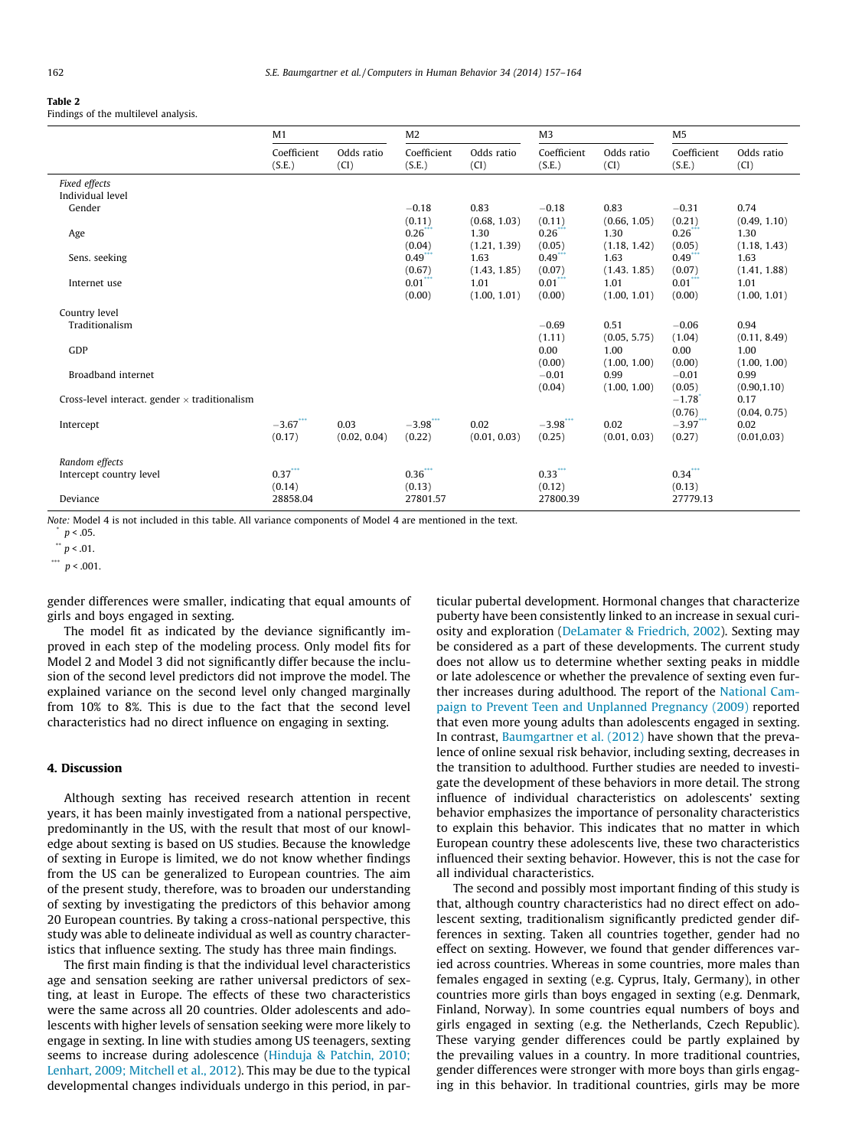#### <span id="page-5-0"></span>Table 2

Findings of the multilevel analysis.

|                                                      | M1                    |                    | M <sub>2</sub>        |                    | M <sub>3</sub>        |                    | M <sub>5</sub>        |                    |
|------------------------------------------------------|-----------------------|--------------------|-----------------------|--------------------|-----------------------|--------------------|-----------------------|--------------------|
|                                                      | Coefficient<br>(S.E.) | Odds ratio<br>(Cl) | Coefficient<br>(S.E.) | Odds ratio<br>(Cl) | Coefficient<br>(S.E.) | Odds ratio<br>(Cl) | Coefficient<br>(S.E.) | Odds ratio<br>(Cl) |
| Fixed effects                                        |                       |                    |                       |                    |                       |                    |                       |                    |
| Individual level                                     |                       |                    |                       |                    |                       |                    |                       |                    |
| Gender                                               |                       |                    | $-0.18$               | 0.83               | $-0.18$               | 0.83               | $-0.31$               | 0.74               |
|                                                      |                       |                    | (0.11)                | (0.68, 1.03)       | (0.11)                | (0.66, 1.05)       | (0.21)                | (0.49, 1.10)       |
| Age                                                  |                       |                    | 0.26                  | 1.30               | 0.26                  | 1.30               | 0.26                  | 1.30               |
|                                                      |                       |                    | (0.04)                | (1.21, 1.39)       | (0.05)                | (1.18, 1.42)       | (0.05)                | (1.18, 1.43)       |
| Sens. seeking                                        |                       |                    | 0.49                  | 1.63               | 0.49                  | 1.63               | 0.49                  | 1.63               |
|                                                      |                       |                    | (0.67)                | (1.43, 1.85)       | (0.07)                | (1.43, 1.85)       | (0.07)                | (1.41, 1.88)       |
| Internet use                                         |                       |                    | $0.01$                | 1.01               | $0.01$                | 1.01               | $0.01$ $\cdots$       | 1.01               |
|                                                      |                       |                    | (0.00)                | (1.00, 1.01)       | (0.00)                | (1.00, 1.01)       | (0.00)                | (1.00, 1.01)       |
| Country level                                        |                       |                    |                       |                    |                       |                    |                       |                    |
| Traditionalism                                       |                       |                    |                       |                    | $-0.69$               | 0.51               | $-0.06$               | 0.94               |
|                                                      |                       |                    |                       |                    | (1.11)                | (0.05, 5.75)       | (1.04)                | (0.11, 8.49)       |
| GDP                                                  |                       |                    |                       |                    | 0.00                  | 1.00               | 0.00                  | 1.00               |
|                                                      |                       |                    |                       |                    | (0.00)                | (1.00, 1.00)       | (0.00)                | (1.00, 1.00)       |
| Broadband internet                                   |                       |                    |                       |                    | $-0.01$               | 0.99               | $-0.01$               | 0.99               |
|                                                      |                       |                    |                       |                    | (0.04)                | (1.00, 1.00)       | (0.05)                | (0.90, 1.10)       |
| Cross-level interact. gender $\times$ traditionalism |                       |                    |                       |                    |                       |                    | $-1.78$               | 0.17               |
|                                                      |                       |                    |                       |                    |                       |                    | (0.76)                | (0.04, 0.75)       |
| Intercept                                            | $-3.67$               | 0.03               | $-3.98$               | 0.02               | $-3.98$               | 0.02               | $-3.97$               | 0.02               |
|                                                      | (0.17)                | (0.02, 0.04)       | (0.22)                | (0.01, 0.03)       | (0.25)                | (0.01, 0.03)       | (0.27)                | (0.01, 0.03)       |
|                                                      |                       |                    |                       |                    |                       |                    |                       |                    |
| Random effects                                       |                       |                    |                       |                    |                       |                    |                       |                    |
| Intercept country level                              | 0.37                  |                    | $0.36$ <sup>***</sup> |                    | $0.33$ ***            |                    | $0.34$ ***            |                    |
|                                                      | (0.14)                |                    | (0.13)                |                    | (0.12)                |                    | (0.13)                |                    |
| Deviance                                             | 28858.04              |                    | 27801.57              |                    | 27800.39              |                    | 27779.13              |                    |

Note: Model 4 is not included in this table. All variance components of Model 4 are mentioned in the text.

\*\*\*  $p < .001$ .

gender differences were smaller, indicating that equal amounts of girls and boys engaged in sexting.

The model fit as indicated by the deviance significantly improved in each step of the modeling process. Only model fits for Model 2 and Model 3 did not significantly differ because the inclusion of the second level predictors did not improve the model. The explained variance on the second level only changed marginally from 10% to 8%. This is due to the fact that the second level characteristics had no direct influence on engaging in sexting.

### 4. Discussion

Although sexting has received research attention in recent years, it has been mainly investigated from a national perspective, predominantly in the US, with the result that most of our knowledge about sexting is based on US studies. Because the knowledge of sexting in Europe is limited, we do not know whether findings from the US can be generalized to European countries. The aim of the present study, therefore, was to broaden our understanding of sexting by investigating the predictors of this behavior among 20 European countries. By taking a cross-national perspective, this study was able to delineate individual as well as country characteristics that influence sexting. The study has three main findings.

The first main finding is that the individual level characteristics age and sensation seeking are rather universal predictors of sexting, at least in Europe. The effects of these two characteristics were the same across all 20 countries. Older adolescents and adolescents with higher levels of sensation seeking were more likely to engage in sexting. In line with studies among US teenagers, sexting seems to increase during adolescence ([Hinduja & Patchin, 2010;](#page-7-0) [Lenhart, 2009; Mitchell et al., 2012\)](#page-7-0). This may be due to the typical developmental changes individuals undergo in this period, in particular pubertal development. Hormonal changes that characterize puberty have been consistently linked to an increase in sexual curiosity and exploration ([DeLamater & Friedrich, 2002](#page-7-0)). Sexting may be considered as a part of these developments. The current study does not allow us to determine whether sexting peaks in middle or late adolescence or whether the prevalence of sexting even further increases during adulthood. The report of the [National Cam](#page-7-0)[paign to Prevent Teen and Unplanned Pregnancy \(2009\)](#page-7-0) reported that even more young adults than adolescents engaged in sexting. In contrast, [Baumgartner et al. \(2012\)](#page-7-0) have shown that the prevalence of online sexual risk behavior, including sexting, decreases in the transition to adulthood. Further studies are needed to investigate the development of these behaviors in more detail. The strong influence of individual characteristics on adolescents' sexting behavior emphasizes the importance of personality characteristics to explain this behavior. This indicates that no matter in which European country these adolescents live, these two characteristics influenced their sexting behavior. However, this is not the case for all individual characteristics.

The second and possibly most important finding of this study is that, although country characteristics had no direct effect on adolescent sexting, traditionalism significantly predicted gender differences in sexting. Taken all countries together, gender had no effect on sexting. However, we found that gender differences varied across countries. Whereas in some countries, more males than females engaged in sexting (e.g. Cyprus, Italy, Germany), in other countries more girls than boys engaged in sexting (e.g. Denmark, Finland, Norway). In some countries equal numbers of boys and girls engaged in sexting (e.g. the Netherlands, Czech Republic). These varying gender differences could be partly explained by the prevailing values in a country. In more traditional countries, gender differences were stronger with more boys than girls engaging in this behavior. In traditional countries, girls may be more

 $p < .05$ .

 $^{**}$   $p$  < .01.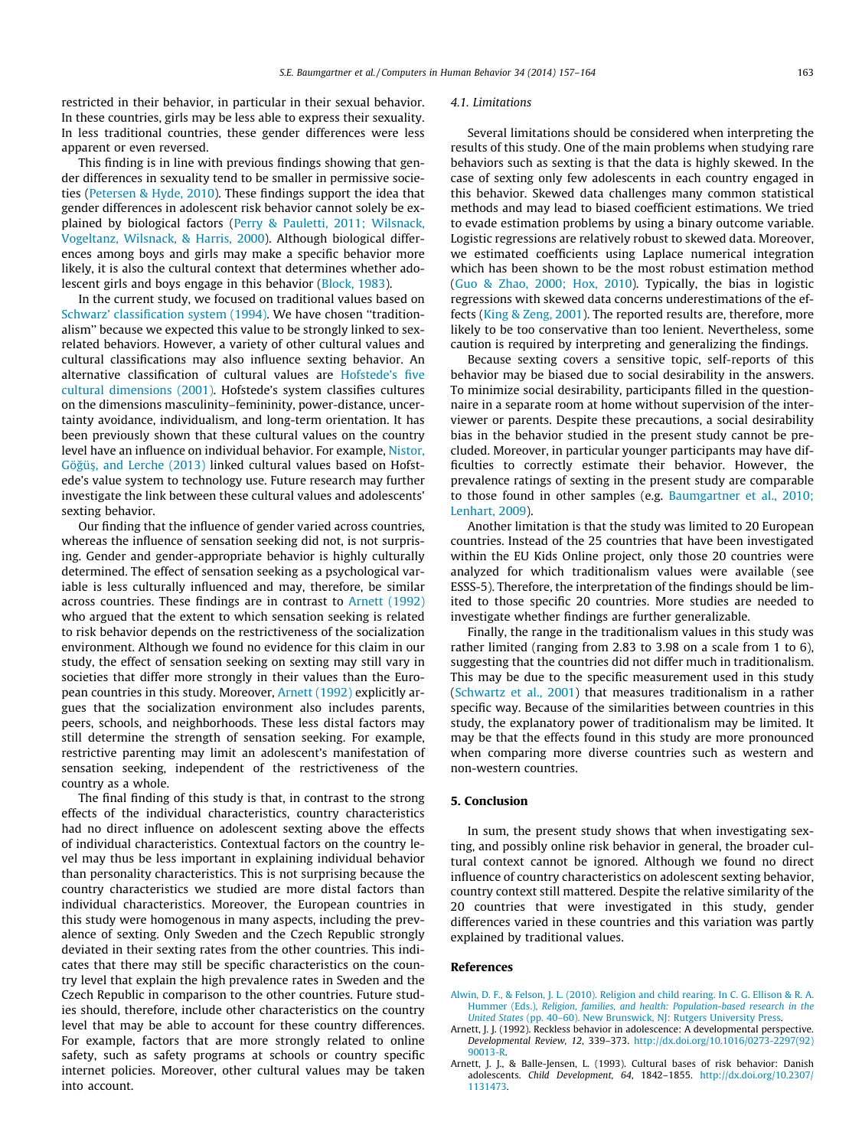<span id="page-6-0"></span>restricted in their behavior, in particular in their sexual behavior. In these countries, girls may be less able to express their sexuality. In less traditional countries, these gender differences were less apparent or even reversed.

This finding is in line with previous findings showing that gender differences in sexuality tend to be smaller in permissive societies ([Petersen & Hyde, 2010](#page-7-0)). These findings support the idea that gender differences in adolescent risk behavior cannot solely be explained by biological factors ([Perry & Pauletti, 2011; Wilsnack,](#page-7-0) [Vogeltanz, Wilsnack, & Harris, 2000\)](#page-7-0). Although biological differences among boys and girls may make a specific behavior more likely, it is also the cultural context that determines whether adolescent girls and boys engage in this behavior [\(Block, 1983](#page-7-0)).

In the current study, we focused on traditional values based on [Schwarz' classification system \(1994\)](#page-7-0). We have chosen "traditionalism'' because we expected this value to be strongly linked to sexrelated behaviors. However, a variety of other cultural values and cultural classifications may also influence sexting behavior. An alternative classification of cultural values are [Hofstede's five](#page-7-0) [cultural dimensions \(2001\)](#page-7-0). Hofstede's system classifies cultures on the dimensions masculinity–femininity, power-distance, uncertainty avoidance, individualism, and long-term orientation. It has been previously shown that these cultural values on the country level have an influence on individual behavior. For example, [Nistor,](#page-7-0) Göğüş[, and Lerche \(2013\)](#page-7-0) linked cultural values based on Hofstede's value system to technology use. Future research may further investigate the link between these cultural values and adolescents' sexting behavior.

Our finding that the influence of gender varied across countries, whereas the influence of sensation seeking did not, is not surprising. Gender and gender-appropriate behavior is highly culturally determined. The effect of sensation seeking as a psychological variable is less culturally influenced and may, therefore, be similar across countries. These findings are in contrast to Arnett (1992) who argued that the extent to which sensation seeking is related to risk behavior depends on the restrictiveness of the socialization environment. Although we found no evidence for this claim in our study, the effect of sensation seeking on sexting may still vary in societies that differ more strongly in their values than the European countries in this study. Moreover, Arnett (1992) explicitly argues that the socialization environment also includes parents, peers, schools, and neighborhoods. These less distal factors may still determine the strength of sensation seeking. For example, restrictive parenting may limit an adolescent's manifestation of sensation seeking, independent of the restrictiveness of the country as a whole.

The final finding of this study is that, in contrast to the strong effects of the individual characteristics, country characteristics had no direct influence on adolescent sexting above the effects of individual characteristics. Contextual factors on the country level may thus be less important in explaining individual behavior than personality characteristics. This is not surprising because the country characteristics we studied are more distal factors than individual characteristics. Moreover, the European countries in this study were homogenous in many aspects, including the prevalence of sexting. Only Sweden and the Czech Republic strongly deviated in their sexting rates from the other countries. This indicates that there may still be specific characteristics on the country level that explain the high prevalence rates in Sweden and the Czech Republic in comparison to the other countries. Future studies should, therefore, include other characteristics on the country level that may be able to account for these country differences. For example, factors that are more strongly related to online safety, such as safety programs at schools or country specific internet policies. Moreover, other cultural values may be taken into account.

#### 4.1. Limitations

Several limitations should be considered when interpreting the results of this study. One of the main problems when studying rare behaviors such as sexting is that the data is highly skewed. In the case of sexting only few adolescents in each country engaged in this behavior. Skewed data challenges many common statistical methods and may lead to biased coefficient estimations. We tried to evade estimation problems by using a binary outcome variable. Logistic regressions are relatively robust to skewed data. Moreover, we estimated coefficients using Laplace numerical integration which has been shown to be the most robust estimation method ([Guo & Zhao, 2000; Hox, 2010\)](#page-7-0). Typically, the bias in logistic regressions with skewed data concerns underestimations of the effects [\(King & Zeng, 2001\)](#page-7-0). The reported results are, therefore, more likely to be too conservative than too lenient. Nevertheless, some caution is required by interpreting and generalizing the findings.

Because sexting covers a sensitive topic, self-reports of this behavior may be biased due to social desirability in the answers. To minimize social desirability, participants filled in the questionnaire in a separate room at home without supervision of the interviewer or parents. Despite these precautions, a social desirability bias in the behavior studied in the present study cannot be precluded. Moreover, in particular younger participants may have difficulties to correctly estimate their behavior. However, the prevalence ratings of sexting in the present study are comparable to those found in other samples (e.g. [Baumgartner et al., 2010;](#page-7-0) [Lenhart, 2009\)](#page-7-0).

Another limitation is that the study was limited to 20 European countries. Instead of the 25 countries that have been investigated within the EU Kids Online project, only those 20 countries were analyzed for which traditionalism values were available (see ESSS-5). Therefore, the interpretation of the findings should be limited to those specific 20 countries. More studies are needed to investigate whether findings are further generalizable.

Finally, the range in the traditionalism values in this study was rather limited (ranging from 2.83 to 3.98 on a scale from 1 to 6), suggesting that the countries did not differ much in traditionalism. This may be due to the specific measurement used in this study ([Schwartz et al., 2001](#page-7-0)) that measures traditionalism in a rather specific way. Because of the similarities between countries in this study, the explanatory power of traditionalism may be limited. It may be that the effects found in this study are more pronounced when comparing more diverse countries such as western and non-western countries.

### 5. Conclusion

In sum, the present study shows that when investigating sexting, and possibly online risk behavior in general, the broader cultural context cannot be ignored. Although we found no direct influence of country characteristics on adolescent sexting behavior, country context still mattered. Despite the relative similarity of the 20 countries that were investigated in this study, gender differences varied in these countries and this variation was partly explained by traditional values.

#### References

- [Alwin, D. F., & Felson, J. L. \(2010\). Religion and child rearing. In C. G. Ellison & R. A.](http://refhub.elsevier.com/S0747-5632(14)00053-3/h0005) Hummer (Eds.), [Religion, families, and health: Population-based research in the](http://refhub.elsevier.com/S0747-5632(14)00053-3/h0005) United States [\(pp. 40–60\). New Brunswick, NJ: Rutgers University Press.](http://refhub.elsevier.com/S0747-5632(14)00053-3/h0005)
- Arnett, J. J. (1992). Reckless behavior in adolescence: A developmental perspective. Developmental Review, 12, 339–373. [http://dx.doi.org/10.1016/0273-2297\(92\)](http://dx.doi.org/10.1016/0273-2297(92)90013-R) [90013-R](http://dx.doi.org/10.1016/0273-2297(92)90013-R).
- Arnett, J. J., & Balle-Jensen, L. (1993). Cultural bases of risk behavior: Danish adolescents. Child Development, 64, 1842–1855. [http://dx.doi.org/10.2307/](http://dx.doi.org/10.2307/1131473) [1131473](http://dx.doi.org/10.2307/1131473).